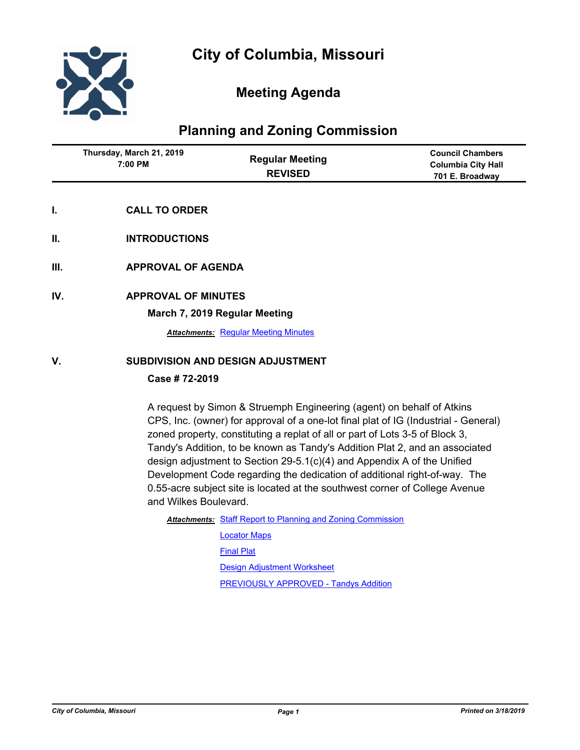

## **Meeting Agenda**

## **Planning and Zoning Commission**

|    | Thursday, March 21, 2019<br>7:00 PM | <b>Regular Meeting</b><br><b>REVISED</b> | <b>Council Chambers</b><br><b>Columbia City Hall</b><br>701 E. Broadway |
|----|-------------------------------------|------------------------------------------|-------------------------------------------------------------------------|
|    | <b>CALL TO ORDER</b>                |                                          |                                                                         |
| Ш. | <b>INTRODUCTIONS</b>                |                                          |                                                                         |

- **III. APPROVAL OF AGENDA**
- **IV. APPROVAL OF MINUTES**

**March 7, 2019 Regular Meeting**

**Attachments: [Regular Meeting Minutes](http://gocolumbiamo.legistar.com/gateway.aspx?M=F&ID=e35ccf2c-cbd5-448c-a687-a3f4b98fa2bb.docx)** 

### **V. SUBDIVISION AND DESIGN ADJUSTMENT**

### **Case # 72-2019**

A request by Simon & Struemph Engineering (agent) on behalf of Atkins CPS, Inc. (owner) for approval of a one-lot final plat of IG (Industrial - General) zoned property, constituting a replat of all or part of Lots 3-5 of Block 3, Tandy's Addition, to be known as Tandy's Addition Plat 2, and an associated design adjustment to Section 29-5.1(c)(4) and Appendix A of the Unified Development Code regarding the dedication of additional right-of-way. The 0.55-acre subject site is located at the southwest corner of College Avenue and Wilkes Boulevard.

Attachments: [Staff Report to Planning and Zoning Commission](http://gocolumbiamo.legistar.com/gateway.aspx?M=F&ID=7edcccee-a6be-411d-9256-1c9323a43019.pdf)

[Locator Maps](http://gocolumbiamo.legistar.com/gateway.aspx?M=F&ID=51cbfea7-d9fe-4cbc-9773-2a36c681ca3b.pdf) [Final Plat](http://gocolumbiamo.legistar.com/gateway.aspx?M=F&ID=2f06ef9f-69aa-410a-b4dd-5dd95d1f43c7.pdf) [Design Adjustment Worksheet](http://gocolumbiamo.legistar.com/gateway.aspx?M=F&ID=e55c15d3-783f-46c5-8fe7-7827e3feb62a.pdf) **[PREVIOUSLY APPROVED - Tandys Addition](http://gocolumbiamo.legistar.com/gateway.aspx?M=F&ID=d3daef59-421a-453d-ad45-bf4a0ca4e365.pdf)**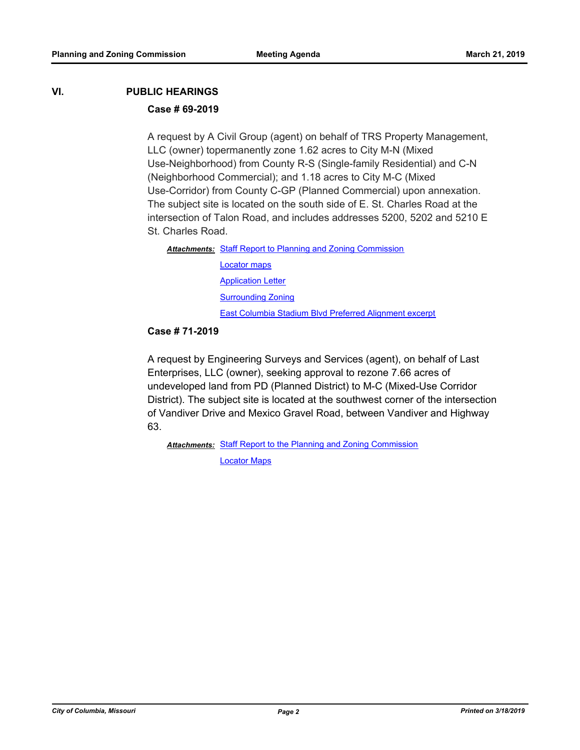# **VI. PUBLIC HEARINGS**

### **Case # 69-2019**

A request by A Civil Group (agent) on behalf of TRS Property Management, LLC (owner) topermanently zone 1.62 acres to City M-N (Mixed Use-Neighborhood) from County R-S (Single-family Residential) and C-N (Neighborhood Commercial); and 1.18 acres to City M-C (Mixed Use-Corridor) from County C-GP (Planned Commercial) upon annexation. The subject site is located on the south side of E. St. Charles Road at the intersection of Talon Road, and includes addresses 5200, 5202 and 5210 E St. Charles Road.

Attachments: [Staff Report to Planning and Zoning Commission](http://gocolumbiamo.legistar.com/gateway.aspx?M=F&ID=7a49e944-6a81-4e21-bd95-29c67ef52f2b.pdf) [Locator maps](http://gocolumbiamo.legistar.com/gateway.aspx?M=F&ID=74ceacc9-e189-4fe4-9697-5a00c1c66d29.pdf) **[Application Letter](http://gocolumbiamo.legistar.com/gateway.aspx?M=F&ID=94506e6b-722a-4c1e-b2ea-325074334030.pdf) [Surrounding Zoning](http://gocolumbiamo.legistar.com/gateway.aspx?M=F&ID=8c7128b0-192c-4b04-912b-6e1dacc38b23.pdf)** [East Columbia Stadium Blvd Preferred Alignment excerpt](http://gocolumbiamo.legistar.com/gateway.aspx?M=F&ID=29ee6303-5718-49af-b998-73d61a116cd2.pdf)

### **Case # 71-2019**

A request by Engineering Surveys and Services (agent), on behalf of Last Enterprises, LLC (owner), seeking approval to rezone 7.66 acres of undeveloped land from PD (Planned District) to M-C (Mixed-Use Corridor District). The subject site is located at the southwest corner of the intersection of Vandiver Drive and Mexico Gravel Road, between Vandiver and Highway 63.

Attachments: [Staff Report to the Planning and Zoning Commission](http://gocolumbiamo.legistar.com/gateway.aspx?M=F&ID=6e953303-a17c-453e-958a-bd86aa0f2a07.docx)

[Locator Maps](http://gocolumbiamo.legistar.com/gateway.aspx?M=F&ID=c9557443-581b-4e1d-9645-984aa623b659.pdf)